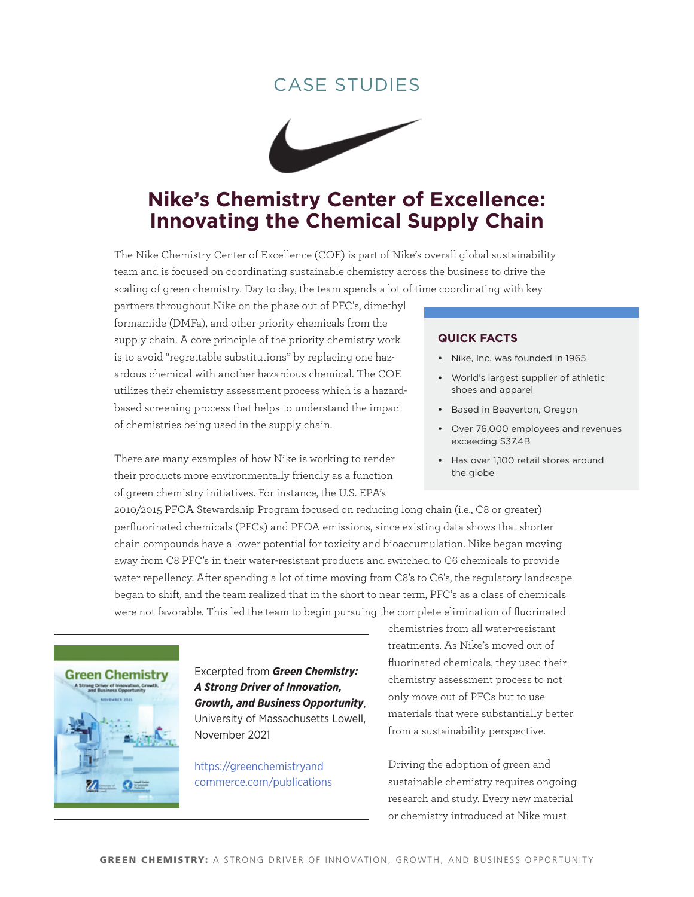### case studies



# **Nike's Chemistry Center of Excellence: Innovating the Chemical Supply Chain**

The Nike Chemistry Center of Excellence (COE) is part of Nike's overall global sustainability team and is focused on coordinating sustainable chemistry across the business to drive the scaling of green chemistry. Day to day, the team spends a lot of time coordinating with key

partners throughout Nike on the phase out of PFC's, dimethyl formamide (DMFa), and other priority chemicals from the supply chain. A core principle of the priority chemistry work is to avoid "regrettable substitutions" by replacing one hazardous chemical with another hazardous chemical. The COE utilizes their chemistry assessment process which is a hazardbased screening process that helps to understand the impact of chemistries being used in the supply chain.

There are many examples of how Nike is working to render their products more environmentally friendly as a function of green chemistry initiatives. For instance, the U.S. EPA's

#### **quick Facts**

- **•**  Nike, Inc. was founded in 1965
- **•**  World's largest supplier of athletic shoes and apparel
- **•**  Based in Beaverton, Oregon
- **•**  Over 76,000 employees and revenues exceeding \$37.4B
- **•**  Has over 1,100 retail stores around the globe

2010/2015 PFOA Stewardship Program focused on reducing long chain (i.e., C8 or greater) perfluorinated chemicals (PFCs) and PFOA emissions, since existing data shows that shorter chain compounds have a lower potential for toxicity and bioaccumulation. Nike began moving away from C8 PFC's in their water-resistant products and switched to C6 chemicals to provide water repellency. After spending a lot of time moving from C8's to C6's, the regulatory landscape began to shift, and the team realized that in the short to near term, PFC's as a class of chemicals were not favorable. This led the team to begin pursuing the complete elimination of fluorinated



Excerpted from *Green Chemistry: A Strong Driver of Innovation, Growth, and Business Opportunity*, University of Massachusetts Lowell, November 2021

[https://greenchemistryand](https://greenchemistryandcommerce.com/publications) [commerce.com/publications](https://greenchemistryandcommerce.com/publications) chemistries from all water-resistant treatments. As Nike's moved out of fluorinated chemicals, they used their chemistry assessment process to not only move out of PFCs but to use materials that were substantially better from a sustainability perspective.

Driving the adoption of green and sustainable chemistry requires ongoing research and study. Every new material or chemistry introduced at Nike must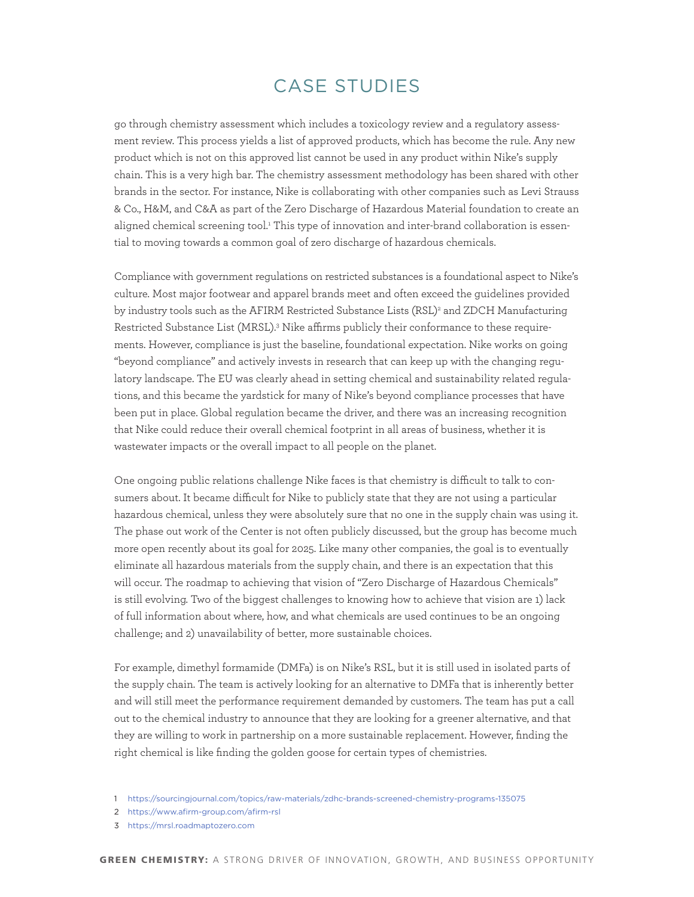### case studies

go through chemistry assessment which includes a toxicology review and a regulatory assessment review. This process yields a list of approved products, which has become the rule. Any new product which is not on this approved list cannot be used in any product within Nike's supply chain. This is a very high bar. The chemistry assessment methodology has been shared with other brands in the sector. For instance, Nike is collaborating with other companies such as Levi Strauss & Co., H&M, and C&A as part of the Zero Discharge of Hazardous Material foundation to create an aligned chemical screening tool.<sup>1</sup> This type of innovation and inter-brand collaboration is essential to moving towards a common goal of zero discharge of hazardous chemicals.

Compliance with government regulations on restricted substances is a foundational aspect to Nike's culture. Most major footwear and apparel brands meet and often exceed the guidelines provided by industry tools such as the AFIRM Restricted Substance Lists (RSL)<sup>2</sup> and ZDCH Manufacturing Restricted Substance List (MRSL).<sup>3</sup> Nike affirms publicly their conformance to these requirements. However, compliance is just the baseline, foundational expectation. Nike works on going "beyond compliance" and actively invests in research that can keep up with the changing regulatory landscape. The EU was clearly ahead in setting chemical and sustainability related regulations, and this became the yardstick for many of Nike's beyond compliance processes that have been put in place. Global regulation became the driver, and there was an increasing recognition that Nike could reduce their overall chemical footprint in all areas of business, whether it is wastewater impacts or the overall impact to all people on the planet.

One ongoing public relations challenge Nike faces is that chemistry is difficult to talk to consumers about. It became difficult for Nike to publicly state that they are not using a particular hazardous chemical, unless they were absolutely sure that no one in the supply chain was using it. The phase out work of the Center is not often publicly discussed, but the group has become much more open recently about its goal for 2025. Like many other companies, the goal is to eventually eliminate all hazardous materials from the supply chain, and there is an expectation that this will occur. The roadmap to achieving that vision of "Zero Discharge of Hazardous Chemicals" is still evolving. Two of the biggest challenges to knowing how to achieve that vision are 1) lack of full information about where, how, and what chemicals are used continues to be an ongoing challenge; and 2) unavailability of better, more sustainable choices.

For example, dimethyl formamide (DMFa) is on Nike's RSL, but it is still used in isolated parts of the supply chain. The team is actively looking for an alternative to DMFa that is inherently better and will still meet the performance requirement demanded by customers. The team has put a call out to the chemical industry to announce that they are looking for a greener alternative, and that they are willing to work in partnership on a more sustainable replacement. However, finding the right chemical is like finding the golden goose for certain types of chemistries.

- 2 <https://www.afirm-group.com/afirm-rsl>
- 3 <https://mrsl.roadmaptozero.com>

<sup>1</sup> <https://sourcingjournal.com/topics/raw-materials/zdhc-brands-screened-chemistry-programs-135075>